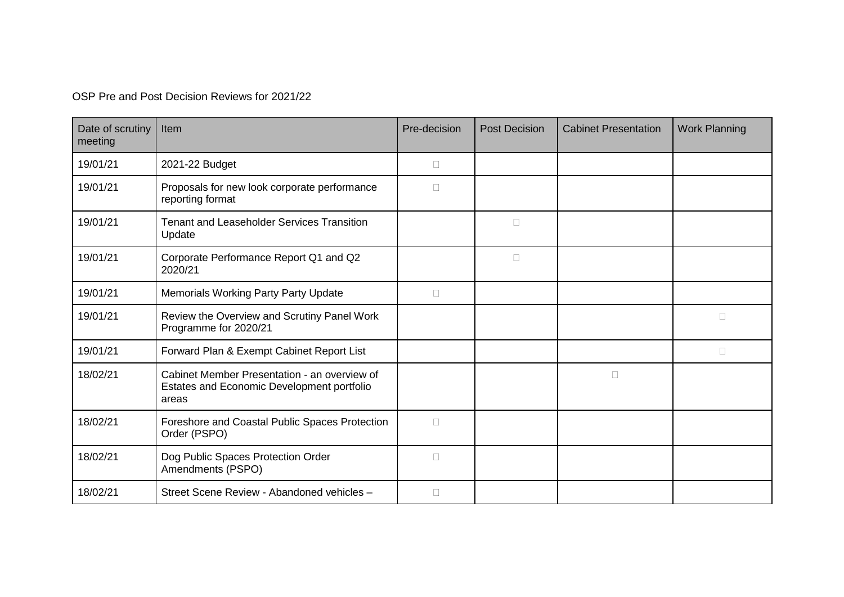OSP Pre and Post Decision Reviews for 2021/22

| Date of scrutiny<br>meeting | <b>Item</b>                                                                                         | Pre-decision | <b>Post Decision</b> | <b>Cabinet Presentation</b> | <b>Work Planning</b> |
|-----------------------------|-----------------------------------------------------------------------------------------------------|--------------|----------------------|-----------------------------|----------------------|
| 19/01/21                    | 2021-22 Budget                                                                                      | П            |                      |                             |                      |
| 19/01/21                    | Proposals for new look corporate performance<br>reporting format                                    | П            |                      |                             |                      |
| 19/01/21                    | <b>Tenant and Leaseholder Services Transition</b><br>Update                                         |              | $\Box$               |                             |                      |
| 19/01/21                    | Corporate Performance Report Q1 and Q2<br>2020/21                                                   |              | $\Box$               |                             |                      |
| 19/01/21                    | <b>Memorials Working Party Party Update</b>                                                         | $\Box$       |                      |                             |                      |
| 19/01/21                    | Review the Overview and Scrutiny Panel Work<br>Programme for 2020/21                                |              |                      |                             | $\Box$               |
| 19/01/21                    | Forward Plan & Exempt Cabinet Report List                                                           |              |                      |                             | П                    |
| 18/02/21                    | Cabinet Member Presentation - an overview of<br>Estates and Economic Development portfolio<br>areas |              |                      | $\Box$                      |                      |
| 18/02/21                    | Foreshore and Coastal Public Spaces Protection<br>Order (PSPO)                                      | $\Box$       |                      |                             |                      |
| 18/02/21                    | Dog Public Spaces Protection Order<br>Amendments (PSPO)                                             | $\Box$       |                      |                             |                      |
| 18/02/21                    | Street Scene Review - Abandoned vehicles -                                                          | $\Box$       |                      |                             |                      |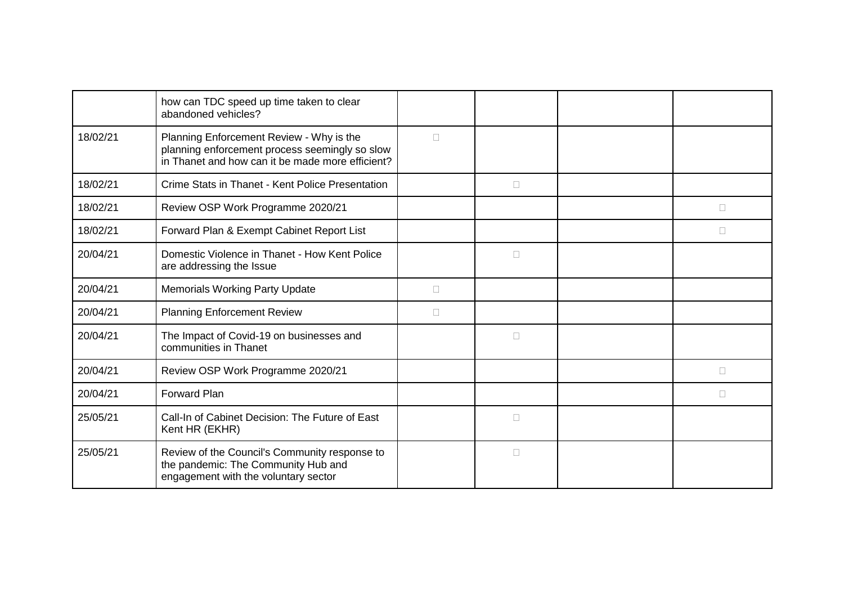|          | how can TDC speed up time taken to clear<br>abandoned vehicles?                                                                                |        |        |              |
|----------|------------------------------------------------------------------------------------------------------------------------------------------------|--------|--------|--------------|
| 18/02/21 | Planning Enforcement Review - Why is the<br>planning enforcement process seemingly so slow<br>in Thanet and how can it be made more efficient? | П      |        |              |
| 18/02/21 | Crime Stats in Thanet - Kent Police Presentation                                                                                               |        | □      |              |
| 18/02/21 | Review OSP Work Programme 2020/21                                                                                                              |        |        | П            |
| 18/02/21 | Forward Plan & Exempt Cabinet Report List                                                                                                      |        |        | $\mathbf{L}$ |
| 20/04/21 | Domestic Violence in Thanet - How Kent Police<br>are addressing the Issue                                                                      |        | $\Box$ |              |
| 20/04/21 | <b>Memorials Working Party Update</b>                                                                                                          | П      |        |              |
| 20/04/21 | <b>Planning Enforcement Review</b>                                                                                                             | $\Box$ |        |              |
| 20/04/21 | The Impact of Covid-19 on businesses and<br>communities in Thanet                                                                              |        | П      |              |
| 20/04/21 | Review OSP Work Programme 2020/21                                                                                                              |        |        | П            |
| 20/04/21 | Forward Plan                                                                                                                                   |        |        | П            |
| 25/05/21 | Call-In of Cabinet Decision: The Future of East<br>Kent HR (EKHR)                                                                              |        | $\Box$ |              |
| 25/05/21 | Review of the Council's Community response to<br>the pandemic: The Community Hub and<br>engagement with the voluntary sector                   |        | $\Box$ |              |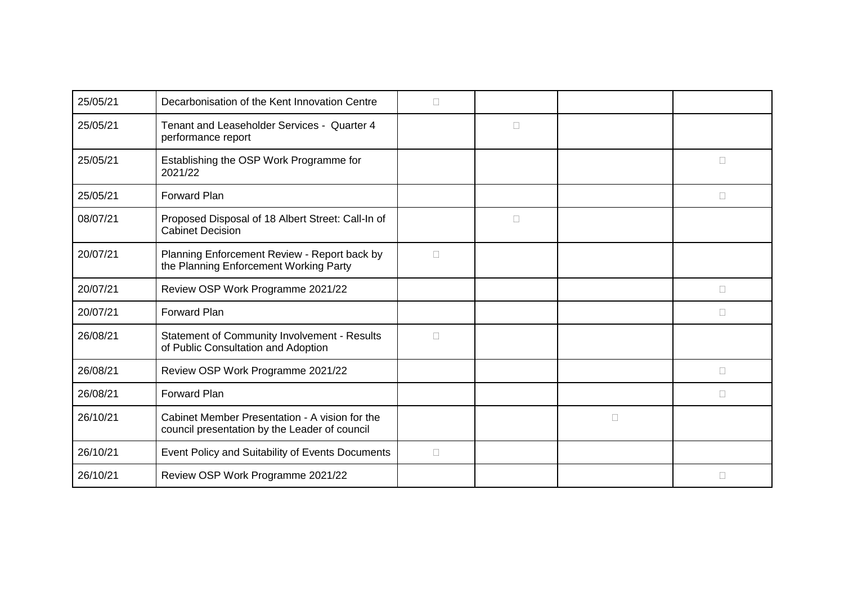| 25/05/21 | Decarbonisation of the Kent Innovation Centre                                                   | $\Box$ |        |        |        |
|----------|-------------------------------------------------------------------------------------------------|--------|--------|--------|--------|
| 25/05/21 | Tenant and Leaseholder Services - Quarter 4<br>performance report                               |        | $\Box$ |        |        |
| 25/05/21 | Establishing the OSP Work Programme for<br>2021/22                                              |        |        |        | $\Box$ |
| 25/05/21 | <b>Forward Plan</b>                                                                             |        |        |        | П      |
| 08/07/21 | Proposed Disposal of 18 Albert Street: Call-In of<br><b>Cabinet Decision</b>                    |        | $\Box$ |        |        |
| 20/07/21 | Planning Enforcement Review - Report back by<br>the Planning Enforcement Working Party          | $\Box$ |        |        |        |
| 20/07/21 | Review OSP Work Programme 2021/22                                                               |        |        |        | $\Box$ |
| 20/07/21 | <b>Forward Plan</b>                                                                             |        |        |        | $\Box$ |
| 26/08/21 | <b>Statement of Community Involvement - Results</b><br>of Public Consultation and Adoption      | $\Box$ |        |        |        |
| 26/08/21 | Review OSP Work Programme 2021/22                                                               |        |        |        | $\Box$ |
| 26/08/21 | <b>Forward Plan</b>                                                                             |        |        |        | П      |
| 26/10/21 | Cabinet Member Presentation - A vision for the<br>council presentation by the Leader of council |        |        | $\Box$ |        |
| 26/10/21 | Event Policy and Suitability of Events Documents                                                | $\Box$ |        |        |        |
| 26/10/21 | Review OSP Work Programme 2021/22                                                               |        |        |        | П      |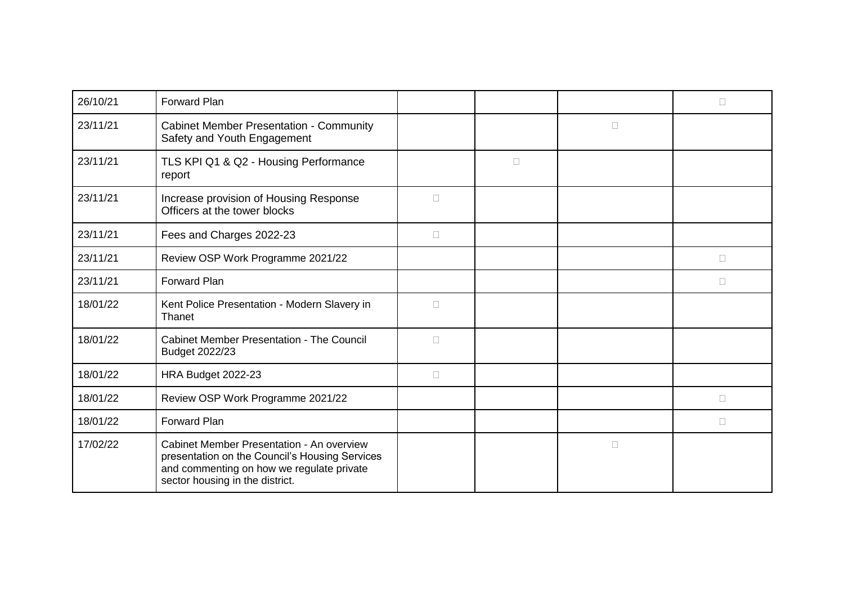| 26/10/21 | <b>Forward Plan</b>                                                                                                                                                         |        |        |        | П      |
|----------|-----------------------------------------------------------------------------------------------------------------------------------------------------------------------------|--------|--------|--------|--------|
| 23/11/21 | <b>Cabinet Member Presentation - Community</b><br>Safety and Youth Engagement                                                                                               |        |        | $\Box$ |        |
| 23/11/21 | TLS KPI Q1 & Q2 - Housing Performance<br>report                                                                                                                             |        | $\Box$ |        |        |
| 23/11/21 | Increase provision of Housing Response<br>Officers at the tower blocks                                                                                                      | $\Box$ |        |        |        |
| 23/11/21 | Fees and Charges 2022-23                                                                                                                                                    | $\Box$ |        |        |        |
| 23/11/21 | Review OSP Work Programme 2021/22                                                                                                                                           |        |        |        | П      |
| 23/11/21 | <b>Forward Plan</b>                                                                                                                                                         |        |        |        | $\Box$ |
| 18/01/22 | Kent Police Presentation - Modern Slavery in<br>Thanet                                                                                                                      | $\Box$ |        |        |        |
| 18/01/22 | <b>Cabinet Member Presentation - The Council</b><br>Budget 2022/23                                                                                                          | $\Box$ |        |        |        |
| 18/01/22 | HRA Budget 2022-23                                                                                                                                                          | $\Box$ |        |        |        |
| 18/01/22 | Review OSP Work Programme 2021/22                                                                                                                                           |        |        |        | $\Box$ |
| 18/01/22 | <b>Forward Plan</b>                                                                                                                                                         |        |        |        | П      |
| 17/02/22 | Cabinet Member Presentation - An overview<br>presentation on the Council's Housing Services<br>and commenting on how we regulate private<br>sector housing in the district. |        |        | $\Box$ |        |